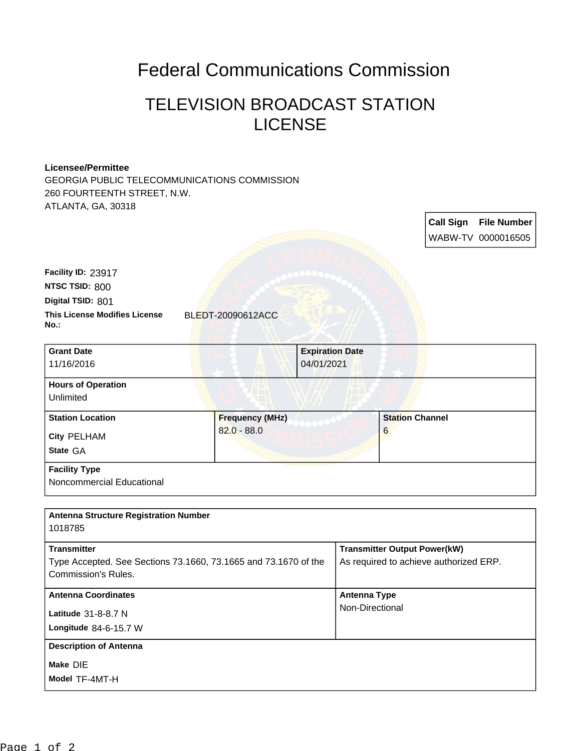## Federal Communications Commission

## TELEVISION BROADCAST STATION LICENSE

## **Licensee/Permittee**

GEORGIA PUBLIC TELECOMMUNICATIONS COMMISSION 260 FOURTEENTH STREET, N.W. ATLANTA, GA, 30318

> **Call Sign File Number** WABW-TV 0000016505

| Facility ID: 23917                   |
|--------------------------------------|
| NTSC TSID: 800                       |
| Digital TSID: 801                    |
| <b>This License Modifies License</b> |
| $No.$ :                              |

**This License Modifies License** BLEDT-20090612ACC

| <b>Grant Date</b>         |                        | <b>Expiration Date</b> |                        |  |
|---------------------------|------------------------|------------------------|------------------------|--|
| 11/16/2016                |                        | 04/01/2021             |                        |  |
| <b>Hours of Operation</b> |                        |                        |                        |  |
| Unlimited                 |                        |                        |                        |  |
| <b>Station Location</b>   | <b>Frequency (MHz)</b> |                        | <b>Station Channel</b> |  |
| <b>City PELHAM</b>        | $82.0 - 88.0$          |                        | 6                      |  |
| State GA                  |                        |                        |                        |  |
| <b>Facility Type</b>      |                        |                        |                        |  |
| Noncommercial Educational |                        |                        |                        |  |

| <b>Antenna Structure Registration Number</b><br>1018785                                                             |                                                                               |
|---------------------------------------------------------------------------------------------------------------------|-------------------------------------------------------------------------------|
| <b>Transmitter</b><br>Type Accepted. See Sections 73.1660, 73.1665 and 73.1670 of the<br><b>Commission's Rules.</b> | <b>Transmitter Output Power(kW)</b><br>As required to achieve authorized ERP. |
| <b>Antenna Coordinates</b><br>Latitude $31-8-8.7$ N<br>Longitude $84-6-15.7$ W                                      | Antenna Type<br>Non-Directional                                               |
| <b>Description of Antenna</b><br>Make DIE<br>Model TF-4MT-H                                                         |                                                                               |